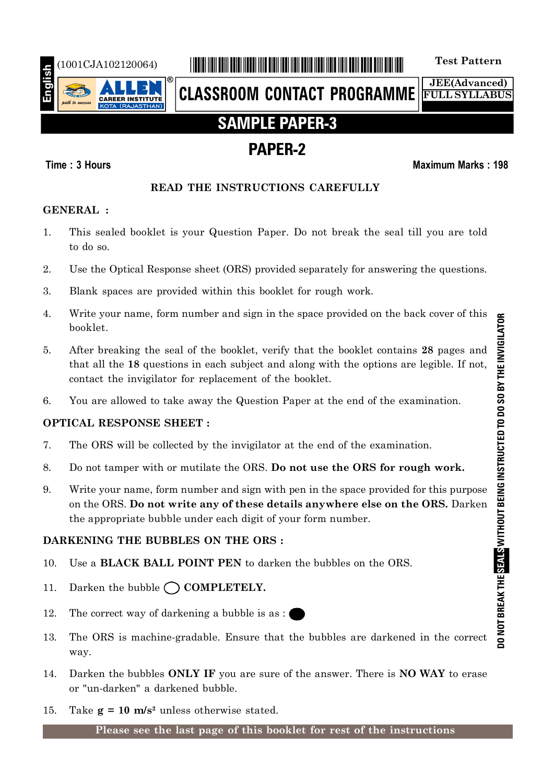

# (1001CJA102120064) \*1001CJA102120064\* **Test Pattern**

**CLASSROOM CONTACT PROGRAMME**

**JEE(Advanced) FULL SYLLABUS**

# **SAMPLE PAPER-3**

# **PAPER-2**

## **Time : 3 Hours Maximum Marks : 198**

# **READ THE INSTRUCTIONS CAREFULLY**

# **GENERAL :**

- 1. This sealed booklet is your Question Paper. Do not break the seal till you are told to do so.
- 2. Use the Optical Response sheet (ORS) provided separately for answering the questions.
- 3. Blank spaces are provided within this booklet for rough work.
- 4. Write your name, form number and sign in the space provided on the back cover of this booklet.
- 5. After breaking the seal of the booklet, verify that the booklet contains **28** pages and that all the **18** questions in each subject and along with the options are legible. If not, contact the invigilator for replacement of the booklet.
- 6. You are allowed to take away the Question Paper at the end of the examination.

# **OPTICAL RESPONSE SHEET :**

- 7. The ORS will be collected by the invigilator at the end of the examination.
- 8. Do not tamper with or mutilate the ORS. **Do not use the ORS for rough work.**
- 9. Write your name, form number and sign with pen in the space provided for this purpose on the ORS. **Do not write any of these details anywhere else on the ORS.** Darken the appropriate bubble under each digit of your form number.

# **DARKENING THE BUBBLES ON THE ORS :**

- 10. Use a **BLACK BALL POINT PEN** to darken the bubbles on the ORS.
- 11. Darken the bubble  $\bigcap$  **COMPLETELY.**
- 12. The correct way of darkening a bubble is as :
- 13. The ORS is machine-gradable. Ensure that the bubbles are darkened in the correct way.
- 14. Darken the bubbles **ONLY IF** you are sure of the answer. There is **NO WAY** to erase or "un-darken" a darkened bubble.
- 15. Take  $g = 10$  m/s<sup>2</sup> unless otherwise stated.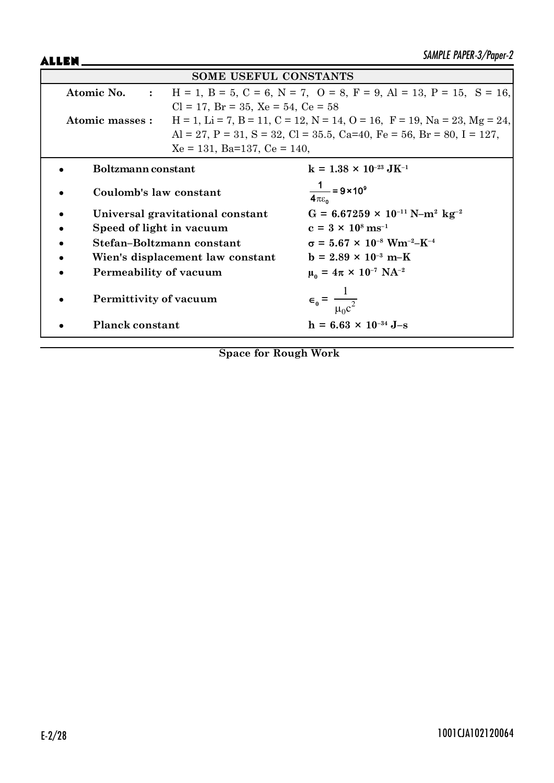ALLEN\_

| <b>SOME USEFUL CONSTANTS</b>   |                                                                                               |                                                                       |  |  |
|--------------------------------|-----------------------------------------------------------------------------------------------|-----------------------------------------------------------------------|--|--|
| Atomic No. :                   | $H = 1$ , $B = 5$ , $C = 6$ , $N = 7$ , $O = 8$ , $F = 9$ , $Al = 13$ , $P = 15$ , $S = 16$ , |                                                                       |  |  |
|                                | $Cl = 17$ , $Br = 35$ , $Xe = 54$ , $Ce = 58$                                                 |                                                                       |  |  |
| Atomic masses :                | $H = 1$ , Li = 7, B = 11, C = 12, N = 14, O = 16, F = 19, Na = 23, Mg = 24,                   |                                                                       |  |  |
|                                |                                                                                               | Al = 27, P = 31, S = 32, Cl = 35.5, Ca=40, Fe = 56, Br = 80, I = 127, |  |  |
| $Xe = 131$ , Ba=137, Ce = 140, |                                                                                               |                                                                       |  |  |
| Boltzmann constant             |                                                                                               | $k = 1.38 \times 10^{-23} \text{ J} \text{K}^{-1}$                    |  |  |
| Coulomb's law constant         |                                                                                               | $\frac{1}{4\pi\epsilon_0}$ = 9 × 10 <sup>9</sup>                      |  |  |
|                                | Universal gravitational constant                                                              | $G = 6.67259 \times 10^{-11} \text{ N} - \text{m}^2 \text{ kg}^{-2}$  |  |  |
| Speed of light in vacuum       |                                                                                               | $c = 3 \times 10^8 \text{ ms}^{-1}$                                   |  |  |
|                                | Stefan-Boltzmann constant                                                                     | $\sigma = 5.67 \times 10^{-8}$ Wm <sup>-2</sup> -K <sup>-4</sup>      |  |  |
|                                | Wien's displacement law constant                                                              | $b = 2.89 \times 10^{-3} \text{ m-K}$                                 |  |  |
| Permeability of vacuum         |                                                                                               | $\mu_0 = 4\pi \times 10^{-7} \text{ NA}^{-2}$                         |  |  |
| Permittivity of vacuum         |                                                                                               | $\epsilon_0 = \frac{1}{\mu_0 c^2}$                                    |  |  |
| <b>Planck constant</b>         |                                                                                               | $h = 6.63 \times 10^{-34}$ J-s                                        |  |  |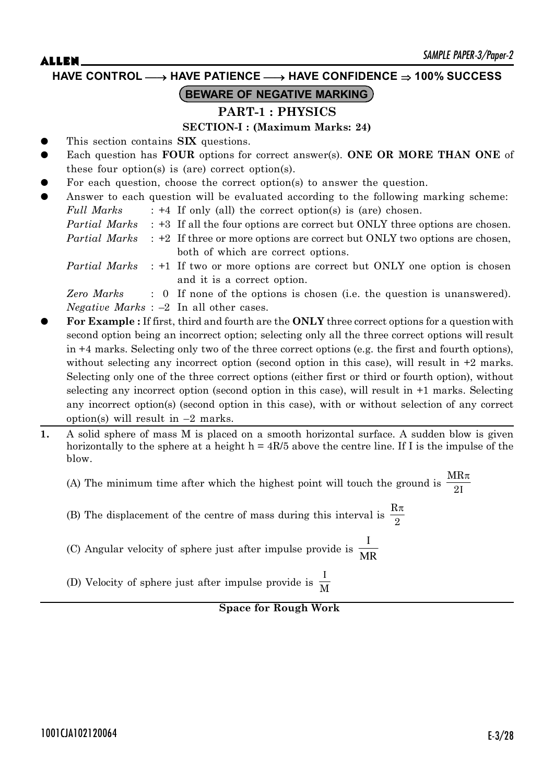**HAVE CONTROL** o **HAVE PATIENCE** o **HAVE CONFIDENCE 100% SUCCESS**

# **BEWARE OF NEGATIVE MARKING**

# **PART-1 : PHYSICS**

### **SECTION-I : (Maximum Marks: 24)**

- This section contains **SIX** questions.
- Each question has **FOUR** options for correct answer(s). **ONE OR MORE THAN ONE** of these four option(s) is (are) correct option(s).
- For each question, choose the correct option(s) to answer the question.
- Answer to each question will be evaluated according to the following marking scheme:
	- *Full Marks* : +4 If only (all) the correct option(s) is (are) chosen.
	- *Partial Marks* : +3 If all the four options are correct but ONLY three options are chosen.

*Partial Marks* : +2 If three or more options are correct but ONLY two options are chosen, both of which are correct options.

*Partial Marks* : +1 If two or more options are correct but ONLY one option is chosen and it is a correct option.

*Zero Marks* : 0 If none of the options is chosen (i.e. the question is unanswered). *Negative Marks* : –2 In all other cases.

- z **For Example :** If first, third and fourth are the **ONLY** three correct options for a question with second option being an incorrect option; selecting only all the three correct options will result in +4 marks. Selecting only two of the three correct options (e.g. the first and fourth options), without selecting any incorrect option (second option in this case), will result in  $+2$  marks. Selecting only one of the three correct options (either first or third or fourth option), without selecting any incorrect option (second option in this case), will result in +1 marks. Selecting any incorrect option(s) (second option in this case), with or without selection of any correct option(s) will result in  $-2$  marks.
- **1.** A solid sphere of mass M is placed on a smooth horizontal surface. A sudden blow is given horizontally to the sphere at a height  $h = 4R/5$  above the centre line. If I is the impulse of the blow.

(A) The minimum time after which the highest point will touch the ground is  $\frac{MR\pi}{2I}$ MR 2

- (B) The displacement of the centre of mass during this interval is  $\frac{R\pi}{2}$
- (C) Angular velocity of sphere just after impulse provide is  $\frac{1}{MR}$  $\mathbf I$
- (D) Velocity of sphere just after impulse provide is  $\frac{I}{M}$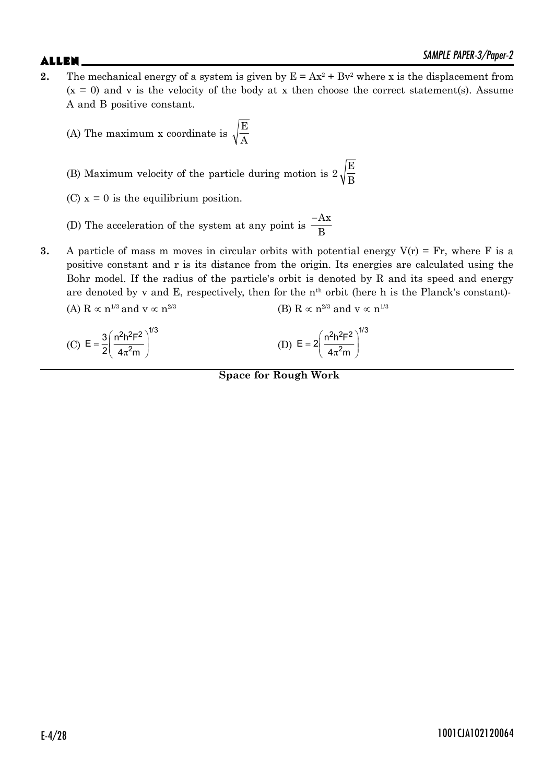- **2.** The mechanical energy of a system is given by  $E = Ax^2 + Bv^2$  where x is the displacement from  $(x = 0)$  and v is the velocity of the body at x then choose the correct statement(s). Assume A and B positive constant.
	- (A) The maximum x coordinate is E A
	- (B) Maximum velocity of the particle during motion is  $2\sqrt{\frac{\text{E}}{\text{B}}}$
	- (C)  $x = 0$  is the equilibrium position.
	- (D) The acceleration of the system at any point is  $\frac{-Ax}{B}$
- **3.** A particle of mass m moves in circular orbits with potential energy  $V(r) = Fr$ , where F is a positive constant and r is its distance from the origin. Its energies are calculated using the Bohr model. If the radius of the particle's orbit is denoted by R and its speed and energy are denoted by  $v$  and E, respectively, then for the  $n<sup>th</sup>$  orbit (here h is the Planck's constant)-(A) R  $\propto$  n<sup>1/3</sup> and v  $\propto$  n<sup>2/3</sup> (B) R  $\propto$  n<sup>2/3</sup> and v  $\propto$  n<sup>1/3</sup>

(C) 
$$
E = \frac{3}{2} \left( \frac{n^2 h^2 F^2}{4 \pi^2 m} \right)^{1/3}
$$
 (D)  $E = 2 \left( \frac{n^2 h^2 F^2}{4 \pi^2 m} \right)^{1/3}$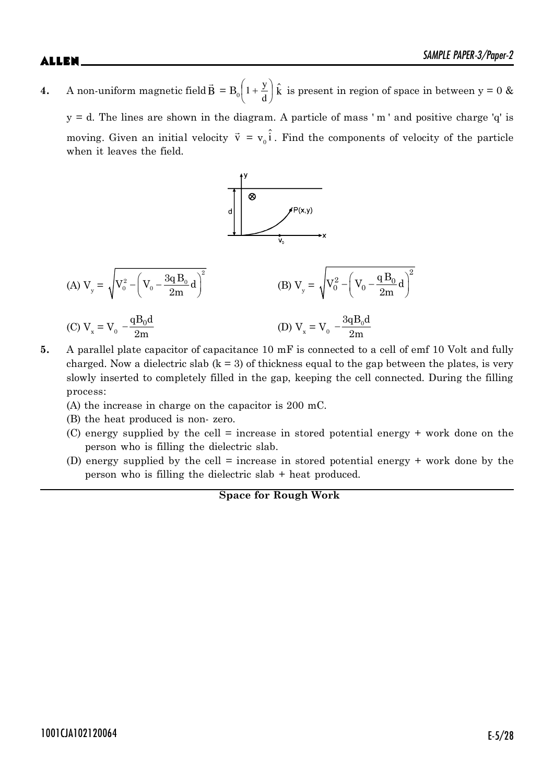**4.** A non-uniform magnetic fieldB  $\vec{E}$  $= B_0 \left[ 1 + \frac{J}{d} \right]$ ¹  $\left(1+\frac{y}{z}\right)$  $\overline{\mathcal{C}}$  $\left(1+\right.$ d  $1 + \frac{y}{l}$   $\hat{k}$  is present in region of space in between y = 0 &

 $y = d$ . The lines are shown in the diagram. A particle of mass 'm' and positive charge 'q' is moving. Given an initial velocity  $\vec{v} = v_0 \hat{i}$ . Find the components of velocity of the particle when it leaves the field.



- **5.** A parallel plate capacitor of capacitance 10 mF is connected to a cell of emf 10 Volt and fully charged. Now a dielectric slab  $(k = 3)$  of thickness equal to the gap between the plates, is very slowly inserted to completely filled in the gap, keeping the cell connected. During the filling process:
	- (A) the increase in charge on the capacitor is 200 mC.
	- (B) the heat produced is non- zero.
	- (C) energy supplied by the cell = increase in stored potential energy + work done on the person who is filling the dielectric slab.
	- (D) energy supplied by the cell = increase in stored potential energy + work done by the person who is filling the dielectric slab + heat produced.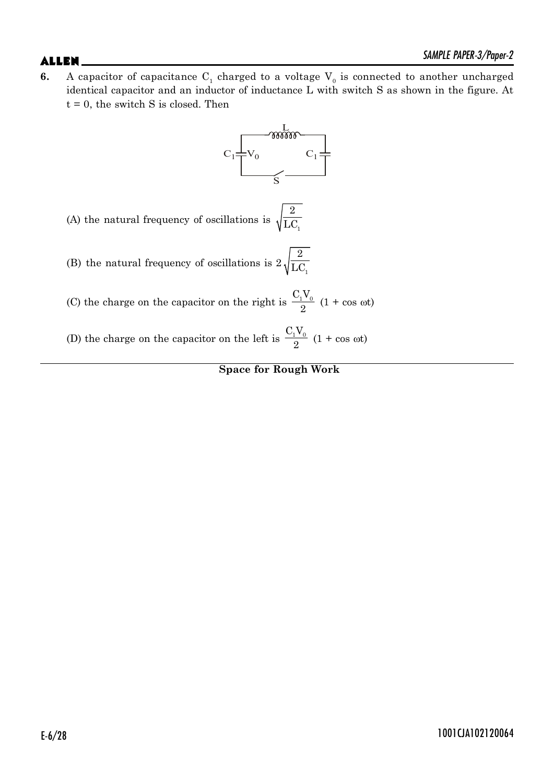**6.** A capacitor of capacitance  $C_1$  charged to a voltage  $V_0$  is connected to another uncharged identical capacitor and an inductor of inductance L with switch S as shown in the figure. At  $t = 0$ , the switch S is closed. Then

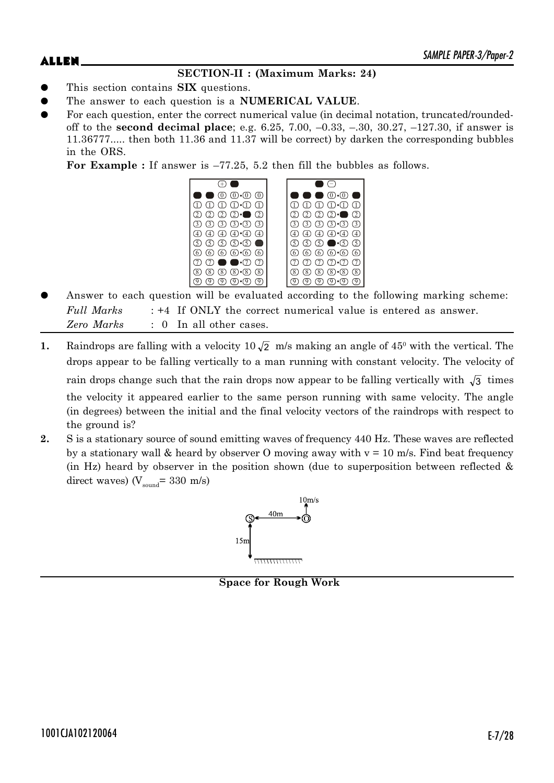# **SECTION-II : (Maximum Marks: 24)**

- This section contains **SIX** questions.
- The answer to each question is a **NUMERICAL VALUE**.
- For each question, enter the correct numerical value (in decimal notation, truncated/roundedoff to the **second decimal place**; e.g. 6.25, 7.00, –0.33, –.30, 30.27, –127.30, if answer is 11.36777..... then both 11.36 and 11.37 will be correct) by darken the corresponding bubbles in the ORS.

**For Example :** If answer is –77.25, 5.2 then fill the bubbles as follows.



- Answer to each question will be evaluated according to the following marking scheme: *Full Marks* : +4 If ONLY the correct numerical value is entered as answer. *Zero Marks* : 0 In all other cases.
- **1.** Raindrops are falling with a velocity  $10\sqrt{2}$  m/s making an angle of  $45^{\circ}$  with the vertical. The drops appear to be falling vertically to a man running with constant velocity. The velocity of rain drops change such that the rain drops now appear to be falling vertically with  $\sqrt{3}$  times the velocity it appeared earlier to the same person running with same velocity. The angle (in degrees) between the initial and the final velocity vectors of the raindrops with respect to the ground is?
- **2.** S is a stationary source of sound emitting waves of frequency 440 Hz. These waves are reflected by a stationary wall & heard by observer O moving away with  $v = 10$  m/s. Find beat frequency (in Hz) heard by observer in the position shown (due to superposition between reflected  $\&$ direct waves) ( $V_{\text{sound}}$ = 330 m/s)



**Space for Rough Work**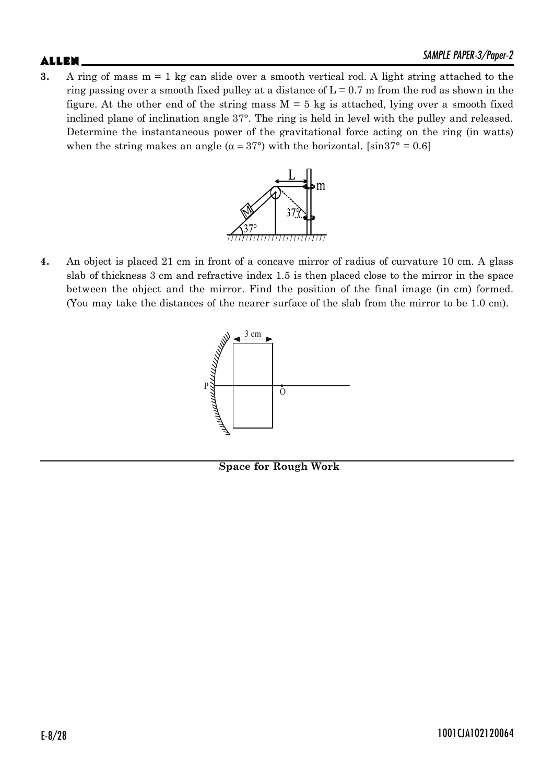**3.** A ring of mass m = 1 kg can slide over a smooth vertical rod. A light string attached to the ring passing over a smooth fixed pulley at a distance of  $L = 0.7$  m from the rod as shown in the figure. At the other end of the string mass  $M = 5$  kg is attached, lying over a smooth fixed inclined plane of inclination angle 37°. The ring is held in level with the pulley and released. Determine the instantaneous power of the gravitational force acting on the ring (in watts) when the string makes an angle ( $\alpha = 37^{\circ}$ ) with the horizontal. [sin37° = 0.6]



**4.** An object is placed 21 cm in front of a concave mirror of radius of curvature 10 cm. A glass slab of thickness 3 cm and refractive index 1.5 is then placed close to the mirror in the space between the object and the mirror. Find the position of the final image (in cm) formed. (You may take the distances of the nearer surface of the slab from the mirror to be 1.0 cm).



**Space for Rough Work**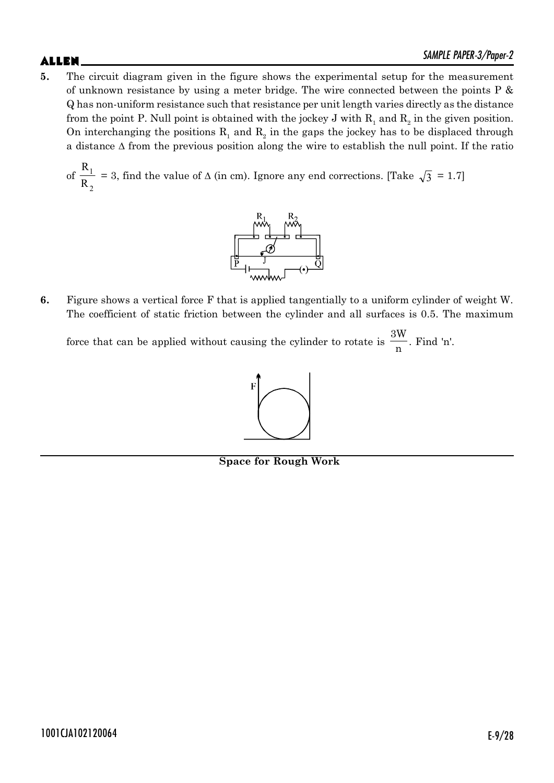**5.** The circuit diagram given in the figure shows the experimental setup for the measurement of unknown resistance by using a meter bridge. The wire connected between the points P & Q has non-uniform resistance such that resistance per unit length varies directly as the distance from the point P. Null point is obtained with the jockey J with  $\mathrm{R_{_1}}$  and  $\mathrm{R_{_2}}$  in the given position. On interchanging the positions  $R_1$  and  $R_2$  in the gaps the jockey has to be displaced through a distance  $\Delta$  from the previous position along the wire to establish the null point. If the ratio

of 2 1 R R = 3, find the value of  $\Delta$  (in cm). Ignore any end corrections. [Take  $\sqrt{3}$  = 1.7]



**6.** Figure shows a vertical force F that is applied tangentially to a uniform cylinder of weight W. The coefficient of static friction between the cylinder and all surfaces is 0.5. The maximum

force that can be applied without causing the cylinder to rotate is 3W  $\frac{n}{n}$ . Find 'n'.



**Space for Rough Work**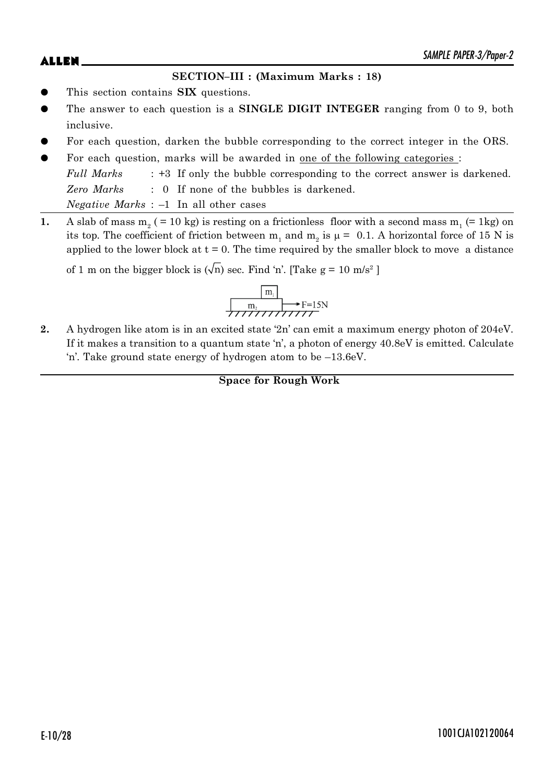## **SECTION–III : (Maximum Marks : 18)**

- This section contains **SIX** questions.
- The answer to each question is a **SINGLE DIGIT INTEGER** ranging from 0 to 9, both inclusive.
- For each question, darken the bubble corresponding to the correct integer in the ORS.
- For each question, marks will be awarded in one of the following categories : *Full Marks* : +3 If only the bubble corresponding to the correct answer is darkened. *Zero Marks* : 0 If none of the bubbles is darkened. *Negative Marks* : –1 In all other cases
- **1.** A slab of mass  $m_2$  (= 10 kg) is resting on a frictionless floor with a second mass  $m_1$  (= 1kg) on its top. The coefficient of friction between  $m_1$  and  $m_2$  is  $\mu = 0.1$ . A horizontal force of 15 N is applied to the lower block at  $t = 0$ . The time required by the smaller block to move a distance

of 1 m on the bigger block is  $(\sqrt{n})$  sec. Find 'n'. [Take g = 10 m/s<sup>2</sup>]

$$
\begin{array}{|c|c|}\n\hline\nm_1 \\
\hline\nm_2\n\end{array}
$$
 F=15N

**2.** A hydrogen like atom is in an excited state '2n' can emit a maximum energy photon of 204eV. If it makes a transition to a quantum state 'n', a photon of energy 40.8eV is emitted. Calculate 'n'. Take ground state energy of hydrogen atom to be –13.6eV.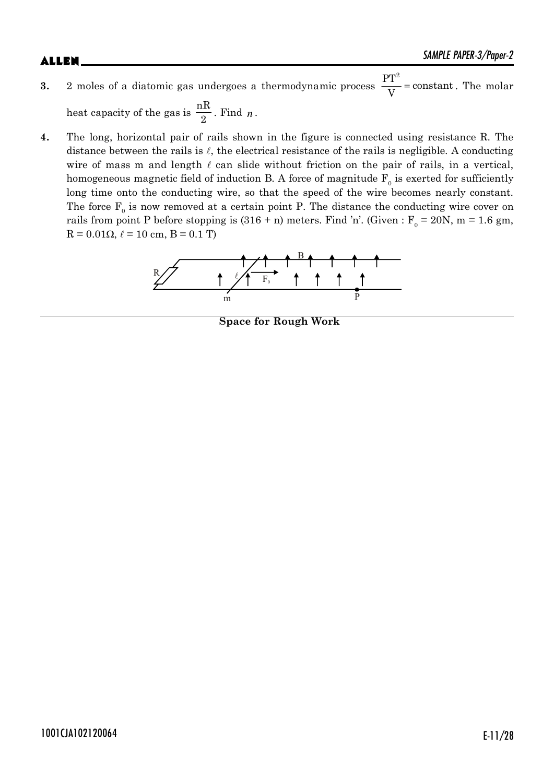# $\mathsf{ALLEN}$   $\blacksquare$

- **3.** 2 moles of a diatomic gas undergoes a thermodynamic process  $\frac{PT^2}{VT}$  = constant  $\frac{1}{V}$  = constant. The molar heat capacity of the gas is  $\frac{nR}{2}$ . Find *n*.
- **4.** The long, horizontal pair of rails shown in the figure is connected using resistance R. The distance between the rails is  $\ell$ , the electrical resistance of the rails is negligible. A conducting wire of mass m and length  $\ell$  can slide without friction on the pair of rails, in a vertical, homogeneous magnetic field of induction B. A force of magnitude  $\mathrm{F_{o}}$  is exerted for sufficiently long time onto the conducting wire, so that the speed of the wire becomes nearly constant. The force  $F_0$  is now removed at a certain point P. The distance the conducting wire cover on rails from point P before stopping is  $(316 + n)$  meters. Find 'n'. (Given : F<sub>0</sub> = 20N, m = 1.6 gm,  $R = 0.01\Omega, \ell = 10$  cm,  $B = 0.1$  T)



**Space for Rough Work**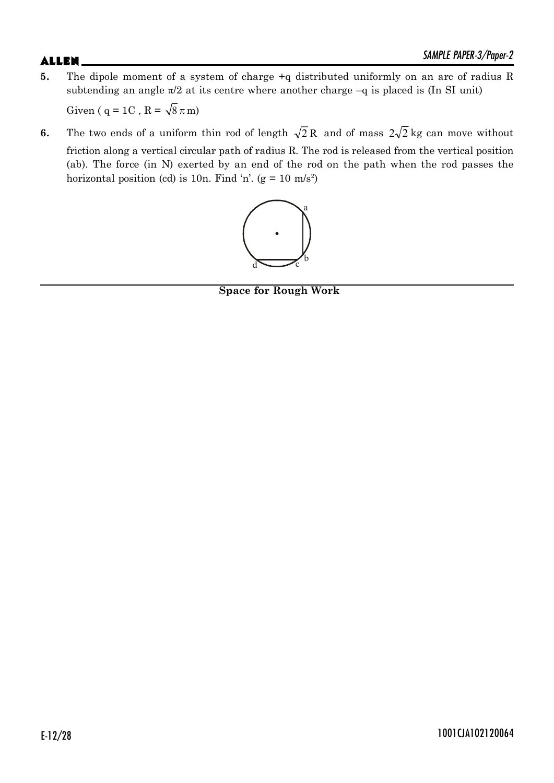- **5.** The dipole moment of a system of charge +q distributed uniformly on an arc of radius R subtending an angle  $\pi/2$  at its centre where another charge  $-q$  is placed is (In SI unit) Given ( q = 1C , R =  $\sqrt{8} \pi$  m)
- **6.** The two ends of a uniform thin rod of length  $\sqrt{2}R$  and of mass  $2\sqrt{2}$  kg can move without friction along a vertical circular path of radius R. The rod is released from the vertical position (ab). The force (in N) exerted by an end of the rod on the path when the rod passes the horizontal position (cd) is 10n. Find 'n'.  $(g = 10 \text{ m/s}^2)$



**Space for Rough Work**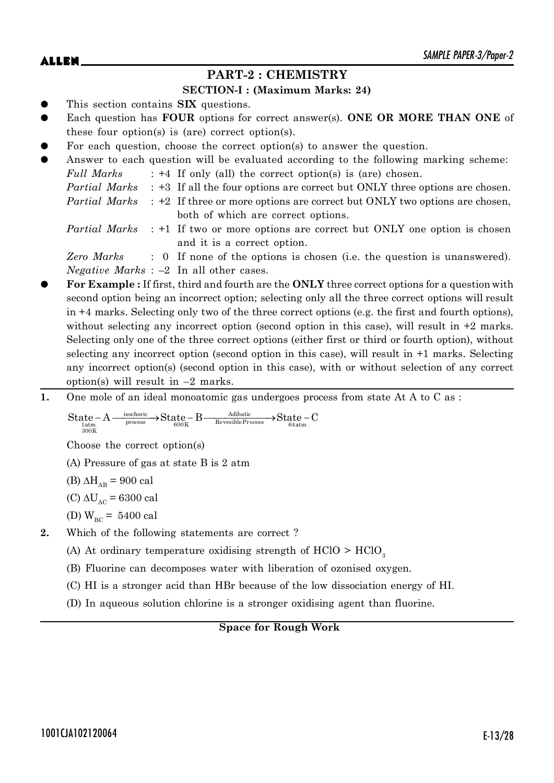# **PART-2 : CHEMISTRY**

### **SECTION-I : (Maximum Marks: 24)**

- This section contains **SIX** questions.
- Each question has **FOUR** options for correct answer(s). ONE OR MORE THAN ONE of these four option(s) is (are) correct option(s).
- For each question, choose the correct option(s) to answer the question.

| $\bullet$ |            | Answer to each question will be evaluated according to the following marking scheme:             |
|-----------|------------|--------------------------------------------------------------------------------------------------|
|           | Full Marks | $: +4$ If only (all) the correct option(s) is (are) chosen.                                      |
|           |            | <i>Partial Marks</i> : +3 If all the four options are correct but ONLY three options are chosen. |
|           |            | <i>Partial Marks</i> : +2 If three or more options are correct but ONLY two options are chosen,  |
|           |            | both of which are correct options.                                                               |
|           |            | <i>Partial Marks</i> : +1 If two or more options are correct but ONLY one option is chosen       |
|           |            | and it is a correct option.                                                                      |

*Zero Marks* : 0 If none of the options is chosen (i.e. the question is unanswered). *Negative Marks* : –2 In all other cases.

- For Example : If first, third and fourth are the **ONLY** three correct options for a question with second option being an incorrect option; selecting only all the three correct options will result in +4 marks. Selecting only two of the three correct options (e.g. the first and fourth options), without selecting any incorrect option (second option in this case), will result in  $+2$  marks. Selecting only one of the three correct options (either first or third or fourth option), without selecting any incorrect option (second option in this case), will result in +1 marks. Selecting any incorrect option(s) (second option in this case), with or without selection of any correct option(s) will result in  $-2$  marks.
- **1.** One mole of an ideal monoatomic gas undergoes process from state At A to C as :

$$
\underline{\mathrm{State}}\xspace_{\mathrm{1atm}}\xspace - A \xrightarrow[\mathrm{300K}]{\mathrm{isochoric}} \xrightarrow[\mathrm{600K}]{\mathrm{State}}\xspace - B \xrightarrow[\mathrm{RevesibleProcess}]{\mathrm{Adibatic}} \xrightarrow[\mathrm{64atm}]{\mathrm{State}}\xspace - C
$$

Choose the correct option(s)

(A) Pressure of gas at state B is 2 atm

(B)  $\Delta H_{AB}$  = 900 cal

- (C)  $\Delta U_{AC}$  = 6300 cal
- (D)  $W_{BC} = 5400 \text{ cal}$
- **2.** Which of the following statements are correct ?
	- (A) At ordinary temperature oxidising strength of  $HClO > HClO<sub>3</sub>$
	- (B) Fluorine can decomposes water with liberation of ozonised oxygen.
	- (C) HI is a stronger acid than HBr because of the low dissociation energy of HI.
	- (D) In aqueous solution chlorine is a stronger oxidising agent than fluorine.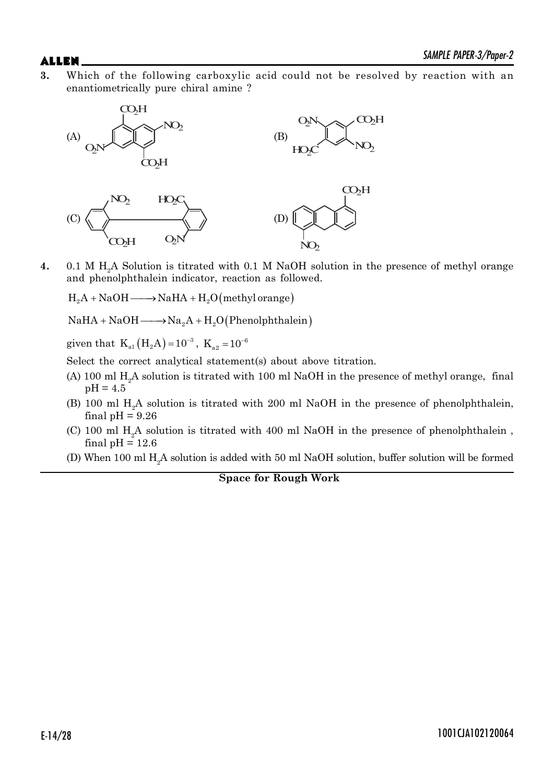**3.** Which of the following carboxylic acid could not be resolved by reaction with an enantiometrically pure chiral amine ?



**4.** 0.1 M H2A Solution is titrated with 0.1 M NaOH solution in the presence of methyl orange and phenolphthalein indicator, reaction as followed.

 $H_2A + NaOH \longrightarrow NaHA + H_2O(methyl orange)$ 

 $NaHA + NaOH \longrightarrow Na<sub>2</sub>A + H<sub>2</sub>O (Phenolphthalein)$ 

given that  $K_{a1} (H_2 A) = 10^{-3}$ ,  $K_{a2} = 10^{-6}$ 

Select the correct analytical statement(s) about above titration.

- (A) 100 ml  $H<sub>2</sub>A$  solution is titrated with 100 ml NaOH in the presence of methyl orange, final  $pH = 4.5$
- (B) 100 ml  $H<sub>2</sub>A$  solution is titrated with 200 ml NaOH in the presence of phenolphthalein, final  $pH = 9.26$
- (C) 100 ml  $H<sub>2</sub>A$  solution is titrated with 400 ml NaOH in the presence of phenolphthalein, final  $pH = 12.6$
- (D) When 100 ml  $H<sub>2</sub>A$  solution is added with 50 ml NaOH solution, buffer solution will be formed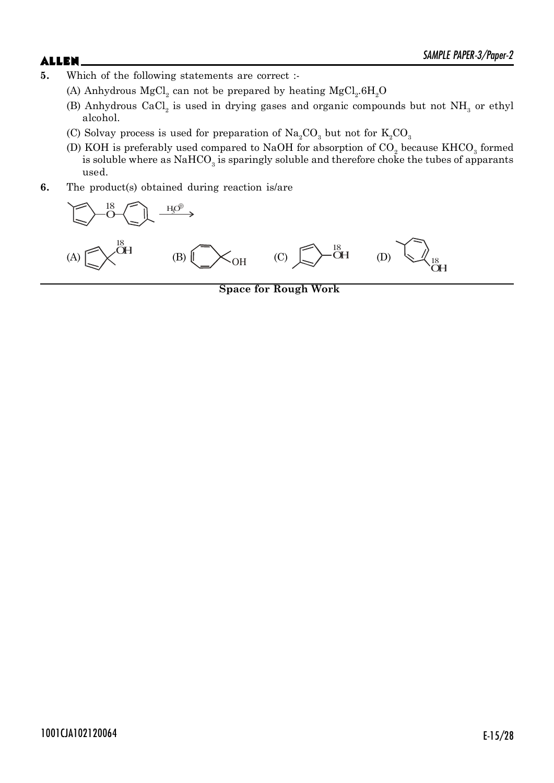- **5.** Which of the following statements are correct :-
	- (A) Anhydrous  ${MgCl}_2$  can not be prepared by heating  ${MgCl}_2.6H_2O$ 
		- (B) Anhydrous CaCl<sub>2</sub> is used in drying gases and organic compounds but not  $NH<sub>3</sub>$  or ethyl alcohol.
		- (C) Solvay process is used for preparation of  $\text{Na}_2\text{CO}_3$  but not for  $\text{K}_2\text{CO}_3$
		- (D) KOH is preferably used compared to NaOH for absorption of  $\mathrm{CO}_2$  because  $\mathrm{KHCO}_3$  formed is soluble where as  $\mathrm{NaHCO}_3$  is sparingly soluble and therefore choke the tubes of apparants used.
- **6.** The product(s) obtained during reaction is/are



**Space for Rough Work**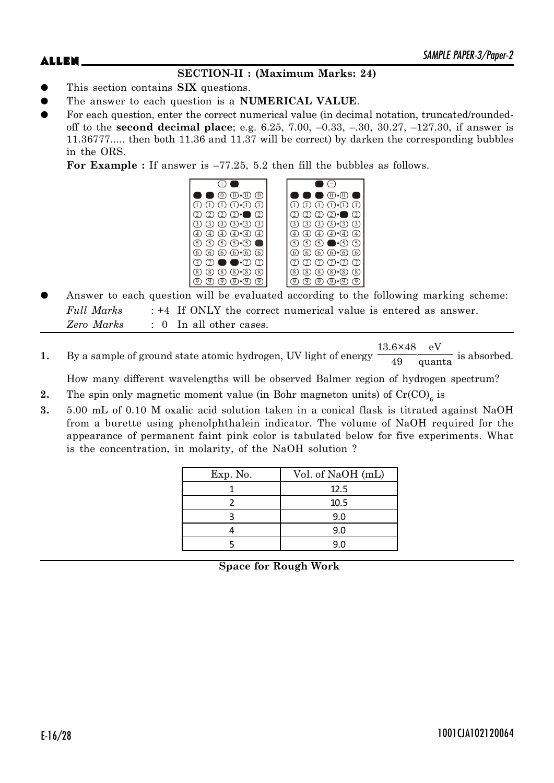# **SECTION-II : (Maximum Marks: 24)**

- z This section contains **SIX** questions.
- The answer to each question is a **NUMERICAL VALUE**.
- For each question, enter the correct numerical value (in decimal notation, truncated/roundedoff to the **second decimal place**; e.g. 6.25, 7.00, –0.33, –.30, 30.27, –127.30, if answer is 11.36777..... then both 11.36 and 11.37 will be correct) by darken the corresponding bubbles in the ORS.

**For Example :** If answer is –77.25, 5.2 then fill the bubbles as follows.



- Answer to each question will be evaluated according to the following marking scheme: *Full Marks* : +4 If ONLY the correct numerical value is entered as answer. *Zero Marks* : 0 In all other cases.
- **1.** By a sample of ground state atomic hydrogen, UV light of energy 13.6×48 eV  $\frac{1}{49}$  quanta is absorbed.

How many different wavelengths will be observed Balmer region of hydrogen spectrum?

- **2.** The spin only magnetic moment value (in Bohr magneton units) of  $Cr(CO)_{6}$  is
- **3.** 5.00 mL of 0.10 M oxalic acid solution taken in a conical flask is titrated against NaOH from a burette using phenolphthalein indicator. The volume of NaOH required for the appearance of permanent faint pink color is tabulated below for five experiments. What is the concentration, in molarity, of the NaOH solution ?

| Exp. No. | Vol. of NaOH (mL) |  |  |  |
|----------|-------------------|--|--|--|
|          | 12.5              |  |  |  |
|          | 10.5              |  |  |  |
|          | 9.0               |  |  |  |
|          | 9.0               |  |  |  |
|          | 9.0               |  |  |  |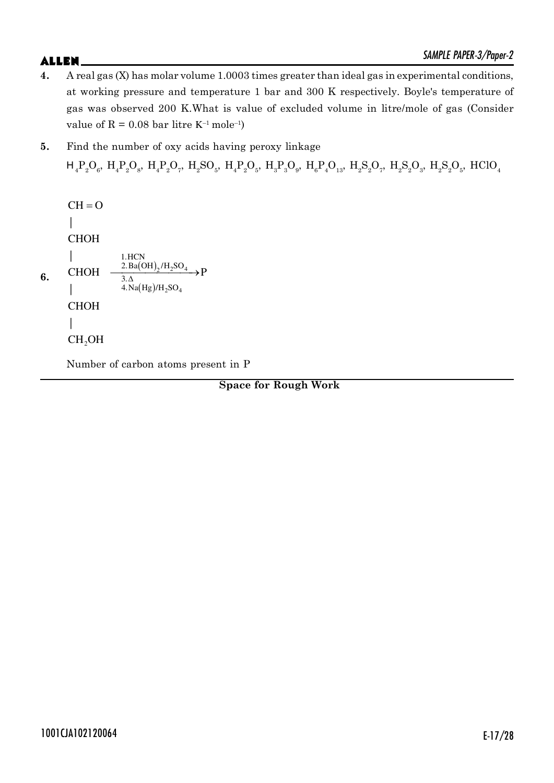- **4.** A real gas (X) has molar volume 1.0003 times greater than ideal gas in experimental conditions, at working pressure and temperature 1 bar and 300 K respectively. Boyle's temperature of gas was observed 200 K.What is value of excluded volume in litre/mole of gas (Consider value of  $R = 0.08$  bar litre K<sup>-1</sup> mole<sup>-1</sup>)
- **5.** Find the number of oxy acids having peroxy linkage  $H_4P_2O_6$ ,  $H_4P_2O_8$ ,  $H_4P_2O_7$ ,  $H_2SO_5$ ,  $H_4P_2O_5$ ,  $H_3P_3O_9$ ,  $H_6P_4O_{13}$ ,  $H_2S_2O_7$ ,  $H_2S_2O_3$ ,  $H_2S_2O_5$ ,  $HClO_4$

 $CH = O$ |  $\mathbf{I}$ CHOH |  $\mathbf{I}$ 1.HCN  $\frac{2.\text{Ba(OH)}_2/\text{H}_2\text{SO}_4}{3.\Delta}$  P CHOH **6.** 3.  $(Hg)/H_2SO_4$ |  $4.$ Na $(Hg)/H_2SO$  $\overline{\phantom{a}}$ CHOH |  $CH<sub>2</sub>OH$ 

Number of carbon atoms present in P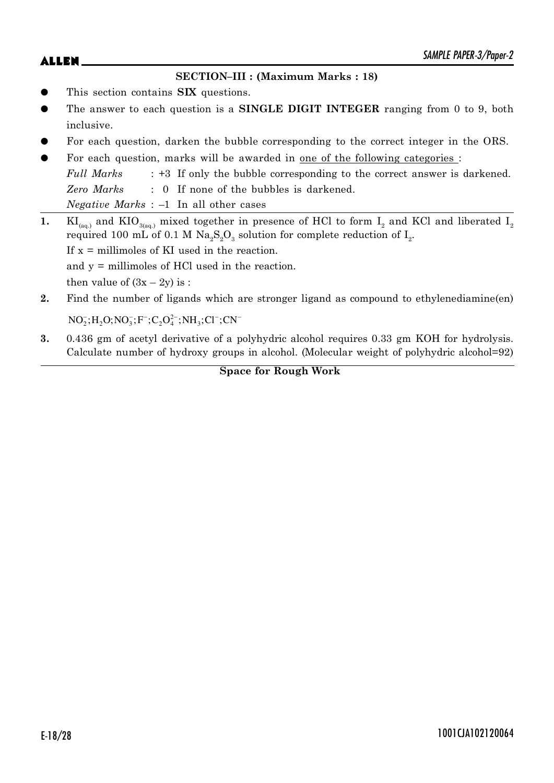## **SECTION–III : (Maximum Marks : 18)**

- This section contains **SIX** questions.
- The answer to each question is a **SINGLE DIGIT INTEGER** ranging from 0 to 9, both inclusive.
- For each question, darken the bubble corresponding to the correct integer in the ORS.
- For each question, marks will be awarded in one of the following categories : *Full Marks* : +3 If only the bubble corresponding to the correct answer is darkened. *Zero Marks* : 0 If none of the bubbles is darkened. *Negative Marks* : –1 In all other cases
- **1.** KI<sub>(aq.)</sub> and KIO<sub>3(aq.)</sub> mixed together in presence of HCl to form I<sub>2</sub> and KCl and liberated I<sub>2</sub> required 100 mL of 0.1 M  $\rm Na_{2}S_{2}O_{3}$  solution for complete reduction of  $\rm I_{2}$ . If  $x =$  millimoles of KI used in the reaction. and y = millimoles of HCl used in the reaction. then value of  $(3x - 2y)$  is :
- **2.** Find the number of ligands which are stronger ligand as compound to ethylenediamine(en)

 $NO_2^-; H_2O; NO_3^-; F^-; C_2O_4^{2-}; NH_3; Cl^-; CN^-$ 

**3.** 0.436 gm of acetyl derivative of a polyhydric alcohol requires 0.33 gm KOH for hydrolysis. Calculate number of hydroxy groups in alcohol. (Molecular weight of polyhydric alcohol=92)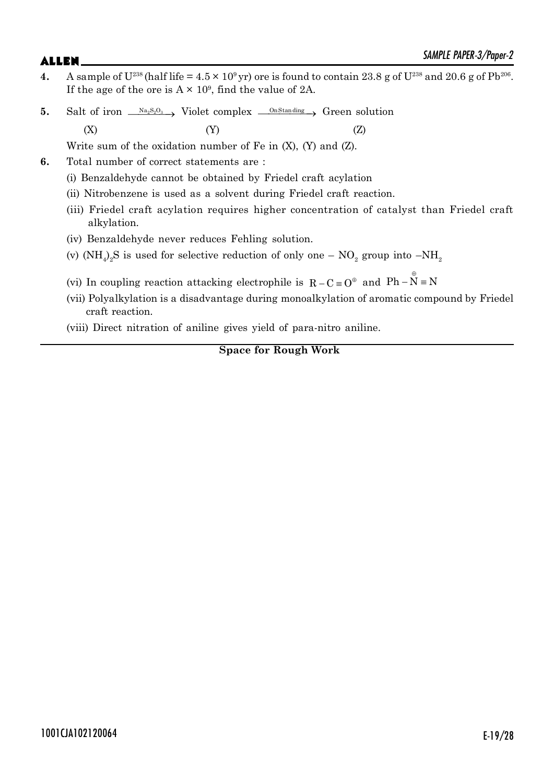- 4. A sample of  $U^{238}$  (half life =  $4.5 \times 10^9$  yr) ore is found to contain 23.8 g of  $U^{238}$  and 20.6 g of Pb<sup>206</sup>. If the age of the ore is  $A \times 10^9$ , find the value of 2A.
- **5.** Salt of iron  $\frac{N a_2 S_2 O_3}{N}$  Violet complex  $\frac{N a_2 S_3}{N}$  Green solution  $(X)$  (Y)  $(Z)$

Write sum of the oxidation number of Fe in (X), (Y) and (Z).

- **6.** Total number of correct statements are :
	- (i) Benzaldehyde cannot be obtained by Friedel craft acylation
	- (ii) Nitrobenzene is used as a solvent during Friedel craft reaction.
	- (iii) Friedel craft acylation requires higher concentration of catalyst than Friedel craft alkylation.
	- (iv) Benzaldehyde never reduces Fehling solution.
	- (v) (NH<sub>4</sub>)<sub>2</sub>S is used for selective reduction of only one NO<sub>2</sub> group into –NH<sub>2</sub>
	- (vi) In coupling reaction attacking electrophile is  $R C = O^{\oplus}$  and  $Ph \overset{\oplus}{N} = N$
	- (vii) Polyalkylation is a disadvantage during monoalkylation of aromatic compound by Friedel craft reaction.

(viii) Direct nitration of aniline gives yield of para-nitro aniline.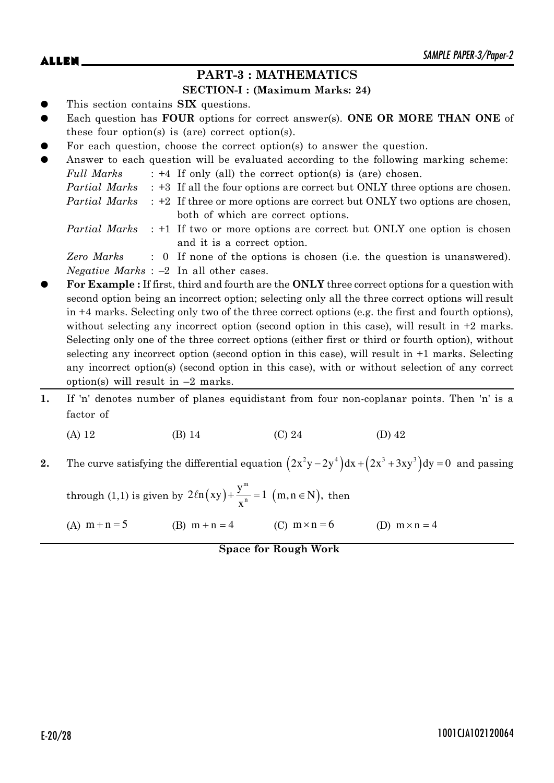# **PART-3 : MATHEMATICS**

### **SECTION-I : (Maximum Marks: 24)**

- This section contains **SIX** questions.
- Each question has **FOUR** options for correct answer(s). ONE OR MORE THAN ONE of these four option(s) is (are) correct option(s).
- For each question, choose the correct option(s) to answer the question.

| $\bullet$ |            | Answer to each question will be evaluated according to the following marking scheme:             |
|-----------|------------|--------------------------------------------------------------------------------------------------|
|           | Full Marks | $: +4$ If only (all) the correct option(s) is (are) chosen.                                      |
|           |            | <i>Partial Marks</i> : +3 If all the four options are correct but ONLY three options are chosen. |
|           |            | <i>Partial Marks</i> : +2 If three or more options are correct but ONLY two options are chosen,  |
|           |            | both of which are correct options.                                                               |
|           |            | <i>Partial Marks</i> : +1 If two or more options are correct but ONLY one option is chosen       |
|           |            | and it is a correct option.                                                                      |

*Zero Marks* : 0 If none of the options is chosen (i.e. the question is unanswered). *Negative Marks* : –2 In all other cases.

- z **For Example :** If first, third and fourth are the **ONLY** three correct options for a question with second option being an incorrect option; selecting only all the three correct options will result in +4 marks. Selecting only two of the three correct options (e.g. the first and fourth options), without selecting any incorrect option (second option in this case), will result in  $+2$  marks. Selecting only one of the three correct options (either first or third or fourth option), without selecting any incorrect option (second option in this case), will result in +1 marks. Selecting any incorrect option(s) (second option in this case), with or without selection of any correct option(s) will result in  $-2$  marks.
- **1.** If 'n' denotes number of planes equidistant from four non-coplanar points. Then 'n' is a factor of
	- (A) 12 (B) 14 (C) 24 (D) 42
- **2.** The curve satisfying the differential equation  $(2x^2y 2y^4)dx + (2x^3 + 3xy^3)dy = 0$  and passing

through (1,1) is given by  $2\ln(xy) + \frac{y^m}{n}$ n  $2\ell n(xy) + \frac{y^m}{n} = 1$  $ln(xy) + \frac{y}{x^n} = 1$  (m, n  $\in$  N), then

(A)  $m + n = 5$  (B)  $m + n = 4$  (C)  $m \times n = 6$  (D)  $m \times n = 4$ 

**Space for Rough Work**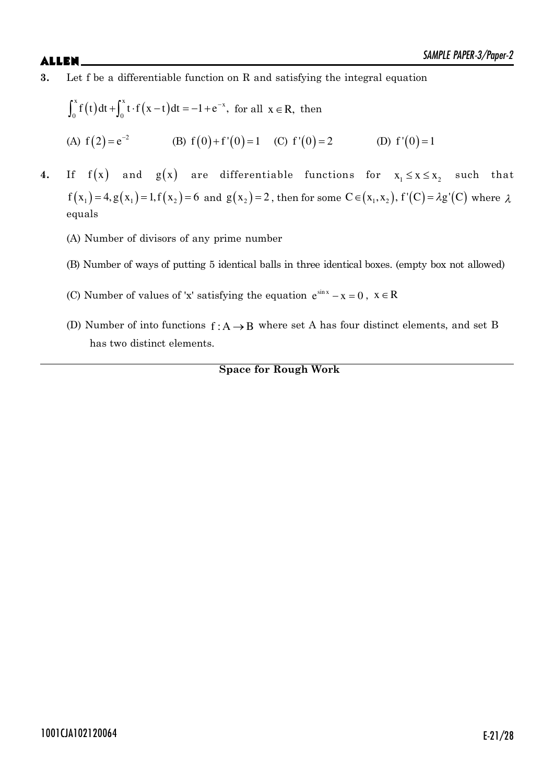**3.** Let f be a differentiable function on R and satisfying the integral equation

$$
\int_0^x f(t) dt + \int_0^x t \cdot f(x - t) dt = -1 + e^{-x}, \text{ for all } x \in \mathbb{R}, \text{ then}
$$
  
(A)  $f(2) = e^{-2}$  (B)  $f(0) + f'(0) = 1$  (C)  $f'(0) = 2$  (D)  $f'(0) = 1$ 

**4.** If  $f(x)$  and  $g(x)$  are differentiable functions for  $x_1 \le x \le x_2$  such that  $f(x_1) = 4, g(x_1) = 1, f(x_2) = 6$  and  $g(x_2) = 2$ , then for some  $C \in (x_1, x_2)$ ,  $f'(C) = \lambda g'(C)$  where  $\lambda$ equals

- (A) Number of divisors of any prime number
- (B) Number of ways of putting 5 identical balls in three identical boxes. (empty box not allowed)
- (C) Number of values of 'x' satisfying the equation  $e^{\sin x} x = 0$ ,  $x \in R$
- (D) Number of into functions  $f: A \rightarrow B$  where set A has four distinct elements, and set B has two distinct elements.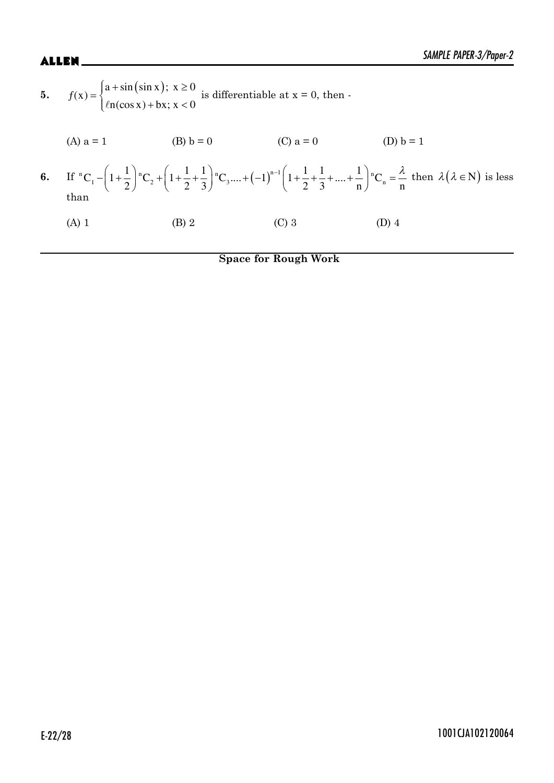| (B) $b = 0$<br>(A) $a = 1$<br>(C) $a = 0$<br>(D) $b = 1$                                                                                                                                                                                                                             |  |
|--------------------------------------------------------------------------------------------------------------------------------------------------------------------------------------------------------------------------------------------------------------------------------------|--|
|                                                                                                                                                                                                                                                                                      |  |
| 6. If ${}^{n}C_{1} - \left(1+\frac{1}{2}\right){}^{n}C_{2} + \left(1+\frac{1}{2}+\frac{1}{3}\right){}^{n}C_{3} + \dots + \left(-1\right)^{n-1}\left(1+\frac{1}{2}+\frac{1}{3}+\dots+\frac{1}{n}\right){}^{n}C_{n} = \frac{\lambda}{n}$ then $\lambda(\lambda \in N)$ is less<br>than |  |
| $(C)$ 3<br>(B) 2<br>$(D)$ 4<br>$(A)$ 1                                                                                                                                                                                                                                               |  |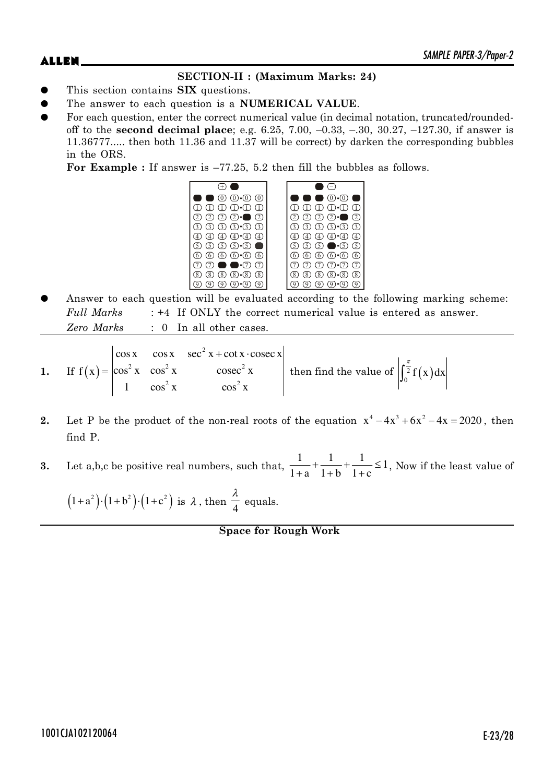# **SECTION-II : (Maximum Marks: 24)**

- This section contains **SIX** questions.
- The answer to each question is a **NUMERICAL VALUE**.
- For each question, enter the correct numerical value (in decimal notation, truncated/roundedoff to the **second decimal place**; e.g. 6.25, 7.00, –0.33, –.30, 30.27, –127.30, if answer is 11.36777..... then both 11.36 and 11.37 will be correct) by darken the corresponding bubbles in the ORS.

**For Example :** If answer is –77.25, 5.2 then fill the bubbles as follows.



Answer to each question will be evaluated according to the following marking scheme: *Full Marks* : +4 If ONLY the correct numerical value is entered as answer. *Zero Marks* : 0 In all other cases.

1. If 
$$
f(x) = \begin{vmatrix} \cos x & \cos x & \sec^2 x + \cot x \cdot \csc x \\ \cos^2 x & \cos^2 x & \csc^2 x \\ 1 & \cos^2 x & \cos^2 x \end{vmatrix}
$$
 then find the value of  $\int_0^{\frac{\pi}{2}} f(x) dx$ 

- **2.** Let P be the product of the non-real roots of the equation  $x^4 4x^3 + 6x^2 4x = 2020$ , then find P.
- **3.** Let a,b,c be positive real numbers, such that,  $\frac{1}{1} + \frac{1}{1} + \frac{1}{1} \leq 1$  $1+a$   $1+b$   $1+c$  $+\frac{1}{\sqrt{2}}+\frac{1}{\sqrt{2}}\le$  $\frac{1}{x} + \frac{1}{x+1} + \frac{1}{x+1} \leq 1$ , Now if the least value of

$$
(1+a^2)\cdot(1+b^2)\cdot(1+c^2)
$$
 is  $\lambda$ , then  $\frac{\lambda}{4}$  equals.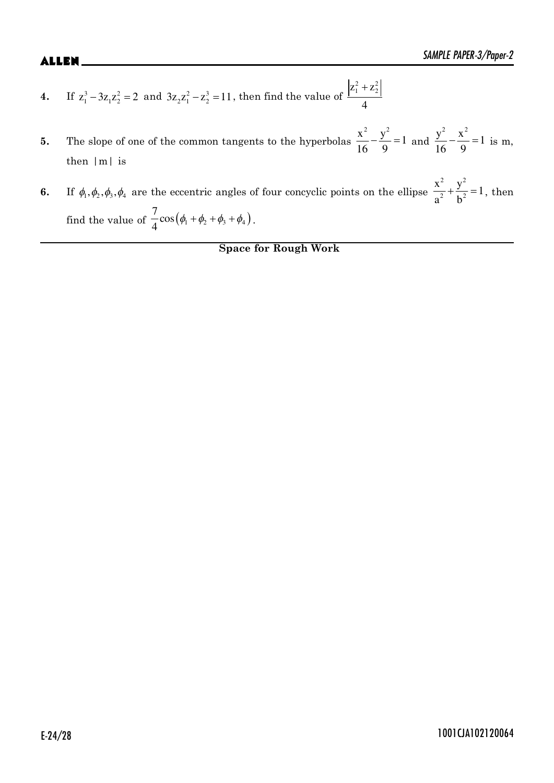- **4.** If  $z_1^3 3z_1 z_2^2 = 2$  and  $3z_2 z_1^2 z_2^3 = 11$ , then find the value of  $z_1^2 + z_2^2$ 4  $^{+}$
- **5.** The slope of one of the common tangents to the hyperbolas  $\frac{x^2}{16} \frac{y^2}{9} = 1$ 16 9  $-\frac{y^2}{2} = 1$  and  $\frac{y^2}{16} - \frac{x^2}{2} = 1$ 16 9  $-\frac{\Lambda}{\Omega}$  = 1 is m, then |m| is
- **6.** If  $\phi_1, \phi_2, \phi_3, \phi_4$  are the eccentric angles of four concyclic points on the ellipse 2  $\sqrt{2}$  $\frac{x^2}{a^2} + \frac{y^2}{b^2} = 1$  $a^2$  b  $+\frac{y}{12}=1$ , then find the value of  $\frac{1}{4}$ cos $(\phi_1 + \phi_2 + \phi_3 + \phi_4)$  $\frac{7}{1}$ cos 4  $\phi_1 + \phi_2 + \phi_3 + \phi_4$ .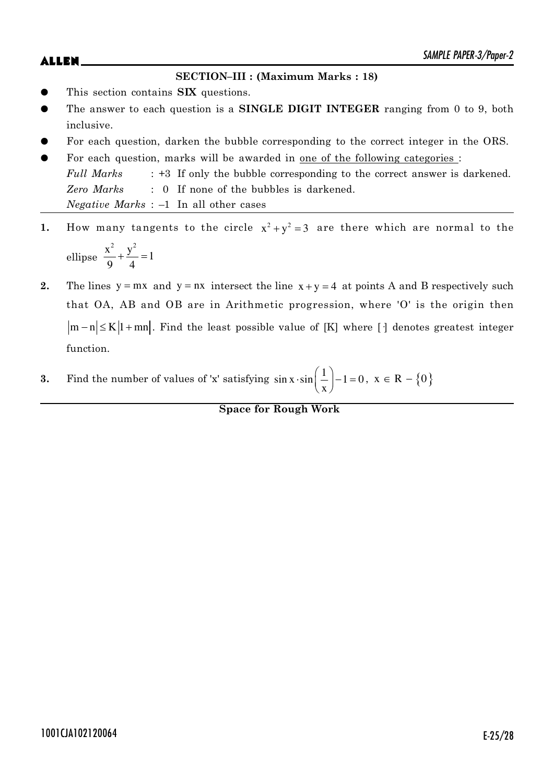### **SECTION–III : (Maximum Marks : 18)**

- This section contains **SIX** questions.
- The answer to each question is a **SINGLE DIGIT INTEGER** ranging from 0 to 9, both inclusive.
- For each question, darken the bubble corresponding to the correct integer in the ORS.
- For each question, marks will be awarded in one of the following categories : *Full Marks* : +3 If only the bubble corresponding to the correct answer is darkened. *Zero Marks* : 0 If none of the bubbles is darkened. *Negative Marks* : –1 In all other cases
- **1.** How many tangents to the circle  $x^2 + y^2 = 3$  are there which are normal to the ellipse  $\frac{x^2}{2} + \frac{y^2}{4} = 1$ 9 4  $+\frac{y}{\cdot} = 1$
- **2.** The lines  $y = mx$  and  $y = nx$  intersect the line  $x + y = 4$  at points A and B respectively such that OA, AB and OB are in Arithmetic progression, where 'O' is the origin then  $|m-n| \leq K |1+mn|$ . Find the least possible value of [K] where [·] denotes greatest integer function.
- **3.** Find the number of values of 'x' satisfying  $\sin x \cdot \sin \left( \frac{1}{2} \right) 1 = 0$ x  $\cdot \sin\left(\frac{1}{x}\right) - 1 = 0, \ x \in \mathbb{R} - \{0\}$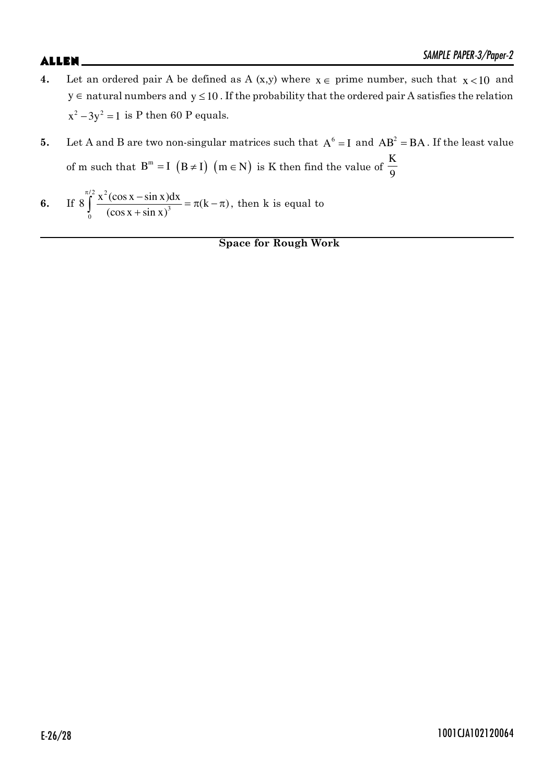- **4.** Let an ordered pair A be defined as A (x,y) where  $x \in \text{prime number}$ , such that  $x < 10$  and  $y \in$  natural numbers and  $y \le 10$ . If the probability that the ordered pair A satisfies the relation  $x^2 - 3y^2 = 1$  is P then 60 P equals.
- **5.** Let A and B are two non-singular matrices such that  $A^6 = I$  and  $AB^2 = BA$ . If the least value of m such that  $B^m = I (B \neq I)$   $(m \in N)$  is K then find the value of  $\frac{K}{Q}$ 9

6. If 
$$
8 \int_{0}^{\pi/2} \frac{x^2(\cos x - \sin x)dx}{(\cos x + \sin x)^3} = \pi(k - \pi)
$$
, then k is equal to